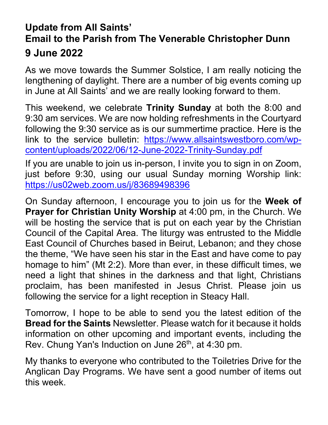## **Update from All Saints' Email to the Parish from The Venerable Christopher Dunn 9 June 2022**

As we move towards the Summer Solstice, I am really noticing the lengthening of daylight. There are a number of big events coming up in June at All Saints' and we are really looking forward to them.

This weekend, we celebrate **Trinity Sunday** at both the 8:00 and 9:30 am services. We are now holding refreshments in the Courtyard following the 9:30 service as is our summertime practice. Here is the link to the service bulletin: [https://www.allsaintswestboro.com/wp](https://www.allsaintswestboro.com/wp-content/uploads/2022/06/12-June-2022-Trinity-Sunday.pdf)[content/uploads/2022/06/12-June-2022-Trinity-Sunday.pdf](https://www.allsaintswestboro.com/wp-content/uploads/2022/06/12-June-2022-Trinity-Sunday.pdf)

If you are unable to join us in-person, I invite you to sign in on Zoom, just before 9:30, using our usual Sunday morning Worship link: <https://us02web.zoom.us/j/83689498396>

On Sunday afternoon, I encourage you to join us for the **Week of Prayer for Christian Unity Worship** at 4:00 pm, in the Church. We will be hosting the service that is put on each year by the Christian Council of the Capital Area. The liturgy was entrusted to the Middle East Council of Churches based in Beirut, Lebanon; and they chose the theme, "We have seen his star in the East and have come to pay homage to him" (Mt 2:2). More than ever, in these difficult times, we need a light that shines in the darkness and that light, Christians proclaim, has been manifested in Jesus Christ. Please join us following the service for a light reception in Steacy Hall.

Tomorrow, I hope to be able to send you the latest edition of the **Bread for the Saints** Newsletter. Please watch for it because it holds information on other upcoming and important events, including the Rev. Chung Yan's Induction on June 26<sup>th</sup>, at 4:30 pm.

My thanks to everyone who contributed to the Toiletries Drive for the Anglican Day Programs. We have sent a good number of items out this week.